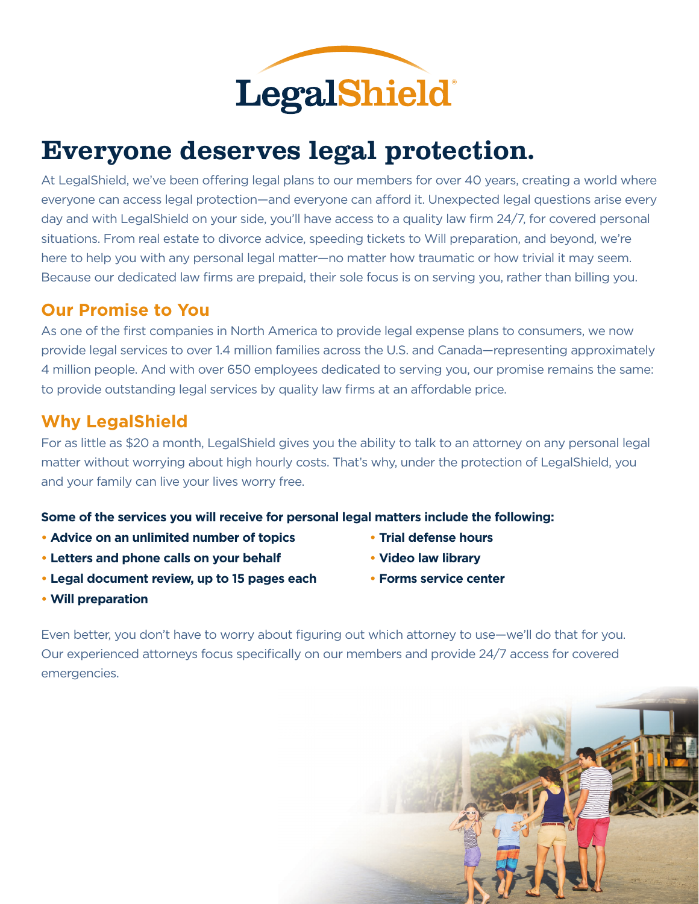

# Everyone deserves legal protection.

At LegalShield, we've been offering legal plans to our members for over 40 years, creating a world where everyone can access legal protection—and everyone can afford it. Unexpected legal questions arise every day and with LegalShield on your side, you'll have access to a quality law firm 24/7, for covered personal situations. From real estate to divorce advice, speeding tickets to Will preparation, and beyond, we're here to help you with any personal legal matter—no matter how traumatic or how trivial it may seem. Because our dedicated law firms are prepaid, their sole focus is on serving you, rather than billing you.

#### **Our Promise to You**

As one of the first companies in North America to provide legal expense plans to consumers, we now provide legal services to over 1.4 million families across the U.S. and Canada—representing approximately 4 million people. And with over 650 employees dedicated to serving you, our promise remains the same: to provide outstanding legal services by quality law firms at an affordable price.

### **Why LegalShield**

For as little as \$20 a month, LegalShield gives you the ability to talk to an attorney on any personal legal matter without worrying about high hourly costs. That's why, under the protection of LegalShield, you and your family can live your lives worry free.

#### **Some of the services you will receive for personal legal matters include the following:**

- **Advice on an unlimited number of topics Trial defense hours**
- **Letters and phone calls on your behalf Video law library**
- **Legal document review, up to 15 pages each Forms service center**
- 
- 
- 

**• Will preparation**

Even better, you don't have to worry about figuring out which attorney to use—we'll do that for you. Our experienced attorneys focus specifically on our members and provide 24/7 access for covered emergencies.